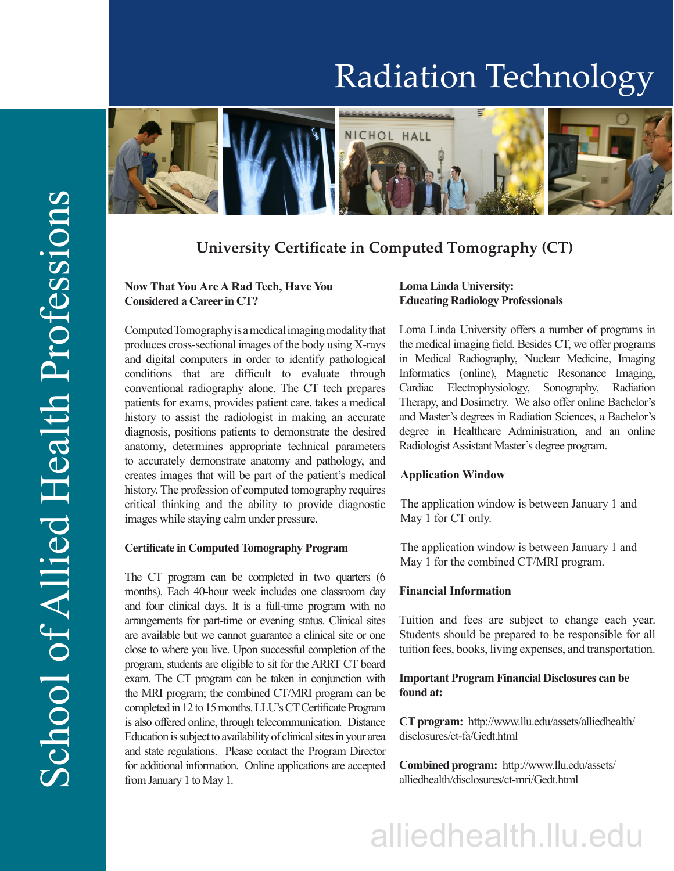# Radiation Technology



# **University Certificate in Computed Tomography (CT)**

### **Now That You Are A Rad Tech, Have You Considered a Career in CT?**

Computed Tomography is a medical imaging modality that produces cross-sectional images of the body using X-rays and digital computers in order to identify pathological conditions that are difficult to evaluate through conventional radiography alone. The CT tech prepares patients for exams, provides patient care, takes a medical history to assist the radiologist in making an accurate diagnosis, positions patients to demonstrate the desired anatomy, determines appropriate technical parameters to accurately demonstrate anatomy and pathology, and creates images that will be part of the patient's medical history. The profession of computed tomography requires critical thinking and the ability to provide diagnostic images while staying calm under pressure.

### **Certificate in Computed Tomography Program**

The CT program can be completed in two quarters (6 months). Each 40-hour week includes one classroom day and four clinical days. It is a full-time program with no arrangements for part-time or evening status. Clinical sites are available but we cannot guarantee a clinical site or one close to where you live. Upon successful completion of the program, students are eligible to sit for the ARRT CT board exam. The CT program can be taken in conjunction with the MRI program; the combined CT/MRI program can be completed in 12 to 15 months. LLU's CT Certificate Program is also offered online, through telecommunication. Distance Education is subject to availability of clinical sites in your area and state regulations. Please contact the Program Director for additional information. Online applications are accepted from January 1 to May 1.

## **Loma Linda University: Educating Radiology Professionals**

Loma Linda University offers a number of programs in the medical imaging field. Besides CT, we offer programs in Medical Radiography, Nuclear Medicine, Imaging Informatics (online), Magnetic Resonance Imaging, Cardiac Electrophysiology, Sonography, Radiation Therapy, and Dosimetry. We also offer online Bachelor's and Master's degrees in Radiation Sciences, a Bachelor's degree in Healthcare Administration, and an online Radiologist Assistant Master's degree program.

#### **Application Window**

The application window is between January 1 and May 1 for CT only.

The application window is between January 1 and May 1 for the combined CT/MRI program.

#### **Financial Information**

Tuition and fees are subject to change each year. Students should be prepared to be responsible for all tuition fees, books, living expenses, and transportation.

## **Important Program Financial Disclosures can be found at:**

**CT program:** http://www.llu.edu/assets/alliedhealth/ disclosures/ct-fa/Gedt.html

**Combined program:** http://www.llu.edu/assets/ alliedhealth/disclosures/ct-mri/Gedt.html

# alliedhealth.llu.edu